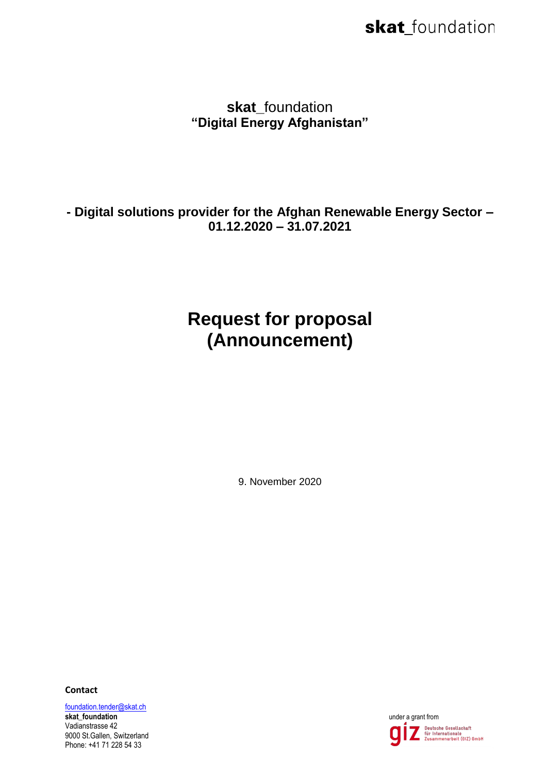skat foundation **"Digital Energy Afghanistan"**

**- Digital solutions provider for the Afghan Renewable Energy Sector – 01.12.2020 – 31.07.2021**

## **Request for proposal (Announcement)**

9. November 2020

**Contact**

[foundation.tender@skat.ch](mailto:foundation.tender@skat.ch)

**skat\_foundation under a grant from <b>under a grant from under a grant from under a grant from** Vadianstrasse 42 9000 St.Gallen, Switzerland Phone: +41 71 228 54 33

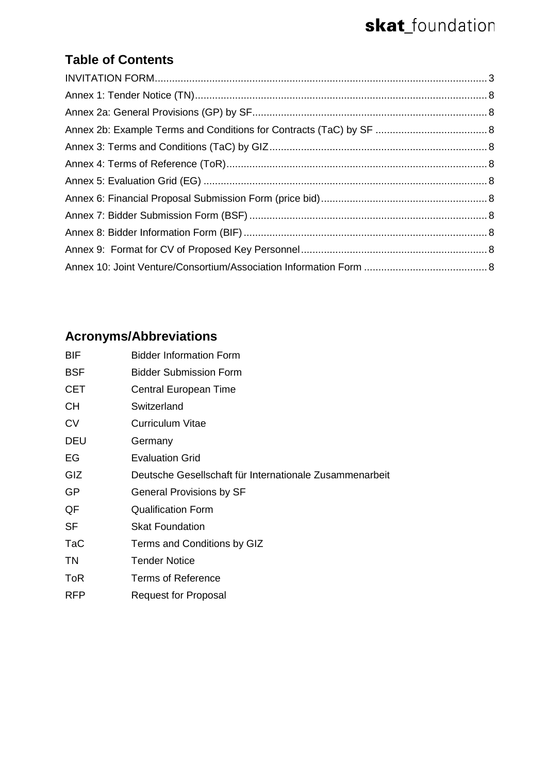### **Table of Contents**

### **Acronyms/Abbreviations**

| BIF        | <b>Bidder Information Form</b>                          |
|------------|---------------------------------------------------------|
| <b>BSF</b> | <b>Bidder Submission Form</b>                           |
| CET        | Central European Time                                   |
| CН         | Switzerland                                             |
| CV         | Curriculum Vitae                                        |
| DEU        | Germany                                                 |
| EG         | <b>Evaluation Grid</b>                                  |
| GIZ        | Deutsche Gesellschaft für Internationale Zusammenarbeit |
| GP         | <b>General Provisions by SF</b>                         |
| QF         | <b>Qualification Form</b>                               |
| <b>SF</b>  | <b>Skat Foundation</b>                                  |
| TaC        | Terms and Conditions by GIZ                             |
| ΤN         | <b>Tender Notice</b>                                    |
| ToR        | <b>Terms of Reference</b>                               |
| <b>RFP</b> | <b>Request for Proposal</b>                             |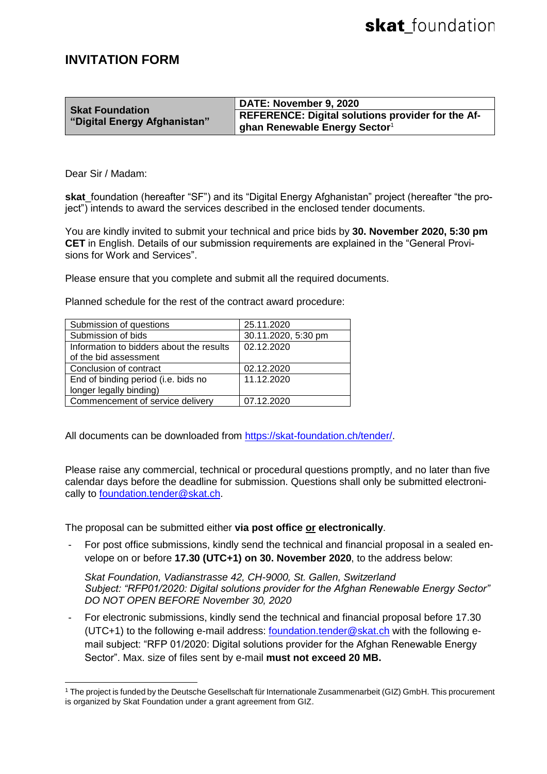#### <span id="page-2-0"></span>**INVITATION FORM**

|                              | DATE: November 9, 2020                                   |
|------------------------------|----------------------------------------------------------|
| <b>Skat Foundation</b>       | <b>REFERENCE: Digital solutions provider for the Af-</b> |
| "Digital Energy Afghanistan" | ghan Renewable Energy Sector $1$                         |

Dear Sir / Madam:

**skat** foundation (hereafter "SF") and its "Digital Energy Afghanistan" project (hereafter "the project") intends to award the services described in the enclosed tender documents.

You are kindly invited to submit your technical and price bids by **30. November 2020, 5:30 pm CET** in English. Details of our submission requirements are explained in the "General Provisions for Work and Services".

Please ensure that you complete and submit all the required documents.

Planned schedule for the rest of the contract award procedure:

| Submission of questions                  | 25.11.2020          |
|------------------------------------------|---------------------|
| Submission of bids                       | 30.11.2020, 5:30 pm |
| Information to bidders about the results | 02.12.2020          |
| of the bid assessment                    |                     |
| Conclusion of contract                   | 02.12.2020          |
| End of binding period (i.e. bids no      | 11.12.2020          |
| longer legally binding)                  |                     |
| Commencement of service delivery         | 07.12.2020          |

All documents can be downloaded from [https://skat-foundation.ch/tender/.](https://skat-foundation.ch/tender/)

Please raise any commercial, technical or procedural questions promptly, and no later than five calendar days before the deadline for submission. Questions shall only be submitted electronically to [foundation.tender@skat.ch.](mailto:foundation.tender@skat.ch)

The proposal can be submitted either **via post office or electronically**.

For post office submissions, kindly send the technical and financial proposal in a sealed envelope on or before **17.30 (UTC+1) on 30. November 2020**, to the address below:

*Skat Foundation, Vadianstrasse 42, CH-9000, St. Gallen, Switzerland Subject: "RFP01/2020: Digital solutions provider for the Afghan Renewable Energy Sector" DO NOT OPEN BEFORE November 30, 2020*

For electronic submissions, kindly send the technical and financial proposal before 17.30 (UTC+1) to the following e-mail address: [foundation.tender@skat.ch](mailto:foundation.tender@skat.ch) with the following email subject: "RFP 01/2020: Digital solutions provider for the Afghan Renewable Energy Sector". Max. size of files sent by e-mail **must not exceed 20 MB.**

 <sup>1</sup> The project is funded by the Deutsche Gesellschaft für Internationale Zusammenarbeit (GIZ) GmbH. This procurement is organized by Skat Foundation under a grant agreement from GIZ.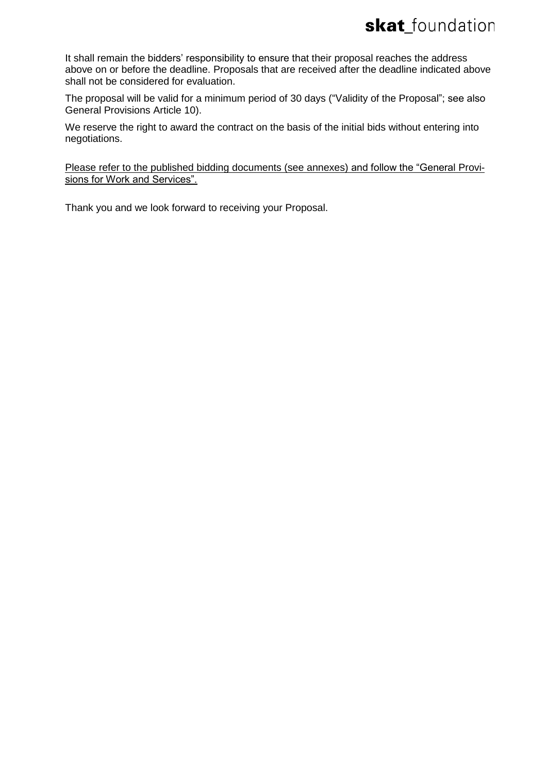It shall remain the bidders' responsibility to ensure that their proposal reaches the address above on or before the deadline. Proposals that are received after the deadline indicated above shall not be considered for evaluation.

The proposal will be valid for a minimum period of 30 days ("Validity of the Proposal"; see also General Provisions Article 10).

We reserve the right to award the contract on the basis of the initial bids without entering into negotiations.

Please refer to the published bidding documents (see annexes) and follow the "General Provisions for Work and Services".

Thank you and we look forward to receiving your Proposal.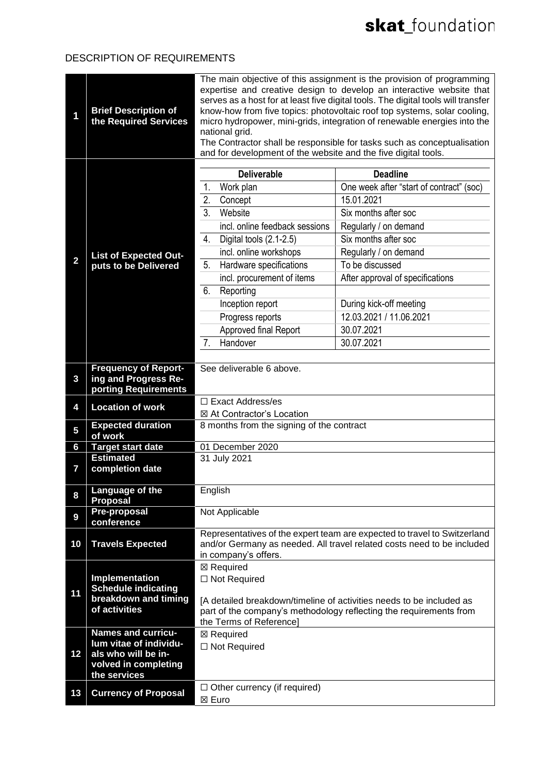#### DESCRIPTION OF REQUIREMENTS

| 1              | <b>Brief Description of</b><br>the Required Services                        | The main objective of this assignment is the provision of programming<br>expertise and creative design to develop an interactive website that<br>serves as a host for at least five digital tools. The digital tools will transfer<br>know-how from five topics: photovoltaic roof top systems, solar cooling,<br>micro hydropower, mini-grids, integration of renewable energies into the<br>national grid.<br>The Contractor shall be responsible for tasks such as conceptualisation<br>and for development of the website and the five digital tools. |                                                                                                                                                    |
|----------------|-----------------------------------------------------------------------------|-----------------------------------------------------------------------------------------------------------------------------------------------------------------------------------------------------------------------------------------------------------------------------------------------------------------------------------------------------------------------------------------------------------------------------------------------------------------------------------------------------------------------------------------------------------|----------------------------------------------------------------------------------------------------------------------------------------------------|
|                |                                                                             | <b>Deliverable</b>                                                                                                                                                                                                                                                                                                                                                                                                                                                                                                                                        | <b>Deadline</b>                                                                                                                                    |
|                |                                                                             | Work plan<br>1.                                                                                                                                                                                                                                                                                                                                                                                                                                                                                                                                           | One week after "start of contract" (soc)                                                                                                           |
|                |                                                                             | $\overline{2}$ .<br>Concept                                                                                                                                                                                                                                                                                                                                                                                                                                                                                                                               | 15.01.2021                                                                                                                                         |
|                |                                                                             | 3 <sub>1</sub><br>Website                                                                                                                                                                                                                                                                                                                                                                                                                                                                                                                                 | Six months after soc                                                                                                                               |
|                |                                                                             | incl. online feedback sessions                                                                                                                                                                                                                                                                                                                                                                                                                                                                                                                            | Regularly / on demand                                                                                                                              |
|                |                                                                             | 4.<br>Digital tools (2.1-2.5)                                                                                                                                                                                                                                                                                                                                                                                                                                                                                                                             | Six months after soc                                                                                                                               |
|                | <b>List of Expected Out-</b>                                                | incl. online workshops                                                                                                                                                                                                                                                                                                                                                                                                                                                                                                                                    | Regularly / on demand                                                                                                                              |
| 2              | puts to be Delivered                                                        | 5.<br>Hardware specifications                                                                                                                                                                                                                                                                                                                                                                                                                                                                                                                             | To be discussed                                                                                                                                    |
|                |                                                                             | incl. procurement of items                                                                                                                                                                                                                                                                                                                                                                                                                                                                                                                                | After approval of specifications                                                                                                                   |
|                |                                                                             | 6.<br>Reporting                                                                                                                                                                                                                                                                                                                                                                                                                                                                                                                                           |                                                                                                                                                    |
|                |                                                                             | Inception report                                                                                                                                                                                                                                                                                                                                                                                                                                                                                                                                          | During kick-off meeting                                                                                                                            |
|                |                                                                             | Progress reports                                                                                                                                                                                                                                                                                                                                                                                                                                                                                                                                          | 12.03.2021 / 11.06.2021                                                                                                                            |
|                |                                                                             | Approved final Report                                                                                                                                                                                                                                                                                                                                                                                                                                                                                                                                     | 30.07.2021                                                                                                                                         |
|                |                                                                             | Handover<br>7.                                                                                                                                                                                                                                                                                                                                                                                                                                                                                                                                            | 30.07.2021                                                                                                                                         |
|                |                                                                             |                                                                                                                                                                                                                                                                                                                                                                                                                                                                                                                                                           |                                                                                                                                                    |
| $\mathbf{3}$   | <b>Frequency of Report-</b><br>ing and Progress Re-<br>porting Requirements | See deliverable 6 above.                                                                                                                                                                                                                                                                                                                                                                                                                                                                                                                                  |                                                                                                                                                    |
| 4              | <b>Location of work</b>                                                     | □ Exact Address/es                                                                                                                                                                                                                                                                                                                                                                                                                                                                                                                                        |                                                                                                                                                    |
|                |                                                                             | ⊠ At Contractor's Location                                                                                                                                                                                                                                                                                                                                                                                                                                                                                                                                |                                                                                                                                                    |
| $\overline{5}$ | <b>Expected duration</b><br>of work                                         | 8 months from the signing of the contract                                                                                                                                                                                                                                                                                                                                                                                                                                                                                                                 |                                                                                                                                                    |
| 6              | <b>Target start date</b>                                                    | 01 December 2020                                                                                                                                                                                                                                                                                                                                                                                                                                                                                                                                          |                                                                                                                                                    |
| $\mathbf{7}$   | <b>Estimated</b><br>completion date                                         | 31 July 2021                                                                                                                                                                                                                                                                                                                                                                                                                                                                                                                                              |                                                                                                                                                    |
| 8              | Language of the<br><b>Proposal</b>                                          | English                                                                                                                                                                                                                                                                                                                                                                                                                                                                                                                                                   |                                                                                                                                                    |
| 9              | <b>Pre-proposal</b><br>conference                                           | Not Applicable                                                                                                                                                                                                                                                                                                                                                                                                                                                                                                                                            |                                                                                                                                                    |
| 10             | <b>Travels Expected</b>                                                     |                                                                                                                                                                                                                                                                                                                                                                                                                                                                                                                                                           | Representatives of the expert team are expected to travel to Switzerland<br>and/or Germany as needed. All travel related costs need to be included |
|                |                                                                             | in company's offers.                                                                                                                                                                                                                                                                                                                                                                                                                                                                                                                                      |                                                                                                                                                    |
|                |                                                                             | ⊠ Required                                                                                                                                                                                                                                                                                                                                                                                                                                                                                                                                                |                                                                                                                                                    |
|                | Implementation                                                              | $\Box$ Not Required                                                                                                                                                                                                                                                                                                                                                                                                                                                                                                                                       |                                                                                                                                                    |
| 11             | <b>Schedule indicating</b>                                                  |                                                                                                                                                                                                                                                                                                                                                                                                                                                                                                                                                           |                                                                                                                                                    |
|                | breakdown and timing<br>of activities                                       |                                                                                                                                                                                                                                                                                                                                                                                                                                                                                                                                                           | [A detailed breakdown/timeline of activities needs to be included as                                                                               |
|                |                                                                             | part of the company's methodology reflecting the requirements from<br>the Terms of Reference]                                                                                                                                                                                                                                                                                                                                                                                                                                                             |                                                                                                                                                    |
|                | <b>Names and curricu-</b>                                                   | ⊠ Required                                                                                                                                                                                                                                                                                                                                                                                                                                                                                                                                                |                                                                                                                                                    |
|                | lum vitae of individu-                                                      | $\Box$ Not Required                                                                                                                                                                                                                                                                                                                                                                                                                                                                                                                                       |                                                                                                                                                    |
| 12             | als who will be in-                                                         |                                                                                                                                                                                                                                                                                                                                                                                                                                                                                                                                                           |                                                                                                                                                    |
|                | volved in completing<br>the services                                        |                                                                                                                                                                                                                                                                                                                                                                                                                                                                                                                                                           |                                                                                                                                                    |
|                |                                                                             | $\Box$ Other currency (if required)                                                                                                                                                                                                                                                                                                                                                                                                                                                                                                                       |                                                                                                                                                    |
| 13             | <b>Currency of Proposal</b>                                                 | ⊠ Euro                                                                                                                                                                                                                                                                                                                                                                                                                                                                                                                                                    |                                                                                                                                                    |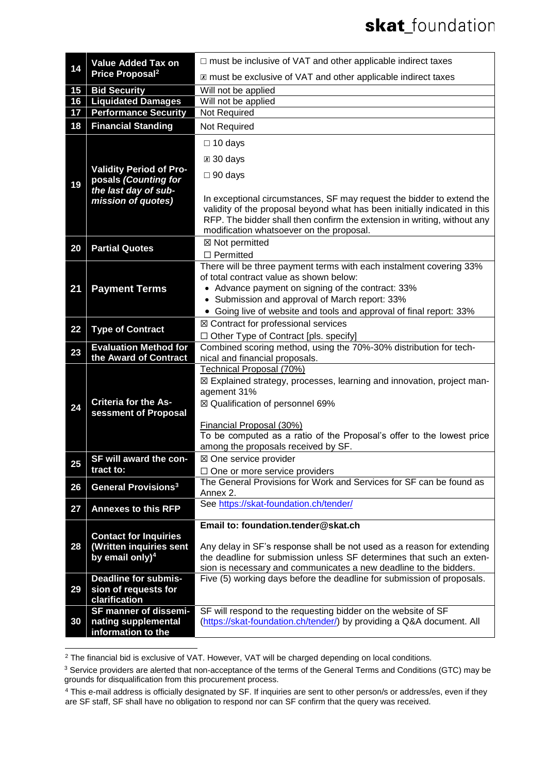| 14 | <b>Value Added Tax on</b><br>Price Proposal <sup>2</sup> | $\Box$ must be inclusive of VAT and other applicable indirect taxes                                                                                                                                                                                                        |  |
|----|----------------------------------------------------------|----------------------------------------------------------------------------------------------------------------------------------------------------------------------------------------------------------------------------------------------------------------------------|--|
|    |                                                          | X must be exclusive of VAT and other applicable indirect taxes                                                                                                                                                                                                             |  |
| 15 | <b>Bid Security</b>                                      | Will not be applied                                                                                                                                                                                                                                                        |  |
| 16 | <b>Liquidated Damages</b>                                | Will not be applied                                                                                                                                                                                                                                                        |  |
| 17 | <b>Performance Security</b>                              | Not Required                                                                                                                                                                                                                                                               |  |
| 18 | <b>Financial Standing</b>                                | Not Required                                                                                                                                                                                                                                                               |  |
|    |                                                          | $\Box$ 10 days                                                                                                                                                                                                                                                             |  |
|    |                                                          | $\boxtimes$ 30 days                                                                                                                                                                                                                                                        |  |
| 19 | <b>Validity Period of Pro-</b><br>posals (Counting for   | $\Box$ 90 days                                                                                                                                                                                                                                                             |  |
|    | the last day of sub-<br>mission of quotes)               | In exceptional circumstances, SF may request the bidder to extend the<br>validity of the proposal beyond what has been initially indicated in this<br>RFP. The bidder shall then confirm the extension in writing, without any<br>modification whatsoever on the proposal. |  |
| 20 | <b>Partial Quotes</b>                                    | ⊠ Not permitted                                                                                                                                                                                                                                                            |  |
|    |                                                          | $\square$ Permitted                                                                                                                                                                                                                                                        |  |
| 21 | <b>Payment Terms</b>                                     | There will be three payment terms with each instalment covering 33%<br>of total contract value as shown below:<br>• Advance payment on signing of the contract: 33%<br>• Submission and approval of March report: 33%                                                      |  |
|    |                                                          | • Going live of website and tools and approval of final report: 33%                                                                                                                                                                                                        |  |
| 22 | <b>Type of Contract</b>                                  | ⊠ Contract for professional services                                                                                                                                                                                                                                       |  |
|    |                                                          | $\Box$ Other Type of Contract [pls. specify]                                                                                                                                                                                                                               |  |
| 23 | <b>Evaluation Method for</b>                             | Combined scoring method, using the 70%-30% distribution for tech-                                                                                                                                                                                                          |  |
|    | the Award of Contract                                    | nical and financial proposals.                                                                                                                                                                                                                                             |  |
|    |                                                          | Technical Proposal (70%)<br>⊠ Explained strategy, processes, learning and innovation, project man-                                                                                                                                                                         |  |
|    | <b>Criteria for the As-</b>                              | agement 31%                                                                                                                                                                                                                                                                |  |
| 24 |                                                          | ⊠ Qualification of personnel 69%                                                                                                                                                                                                                                           |  |
|    | sessment of Proposal                                     |                                                                                                                                                                                                                                                                            |  |
|    |                                                          | Financial Proposal (30%)                                                                                                                                                                                                                                                   |  |
|    |                                                          | To be computed as a ratio of the Proposal's offer to the lowest price<br>among the proposals received by SF.                                                                                                                                                               |  |
|    | SF will award the con-                                   | ⊠ One service provider                                                                                                                                                                                                                                                     |  |
| 25 | tract to:                                                | $\Box$ One or more service providers                                                                                                                                                                                                                                       |  |
| 26 | <b>General Provisions<sup>3</sup></b>                    | The General Provisions for Work and Services for SF can be found as<br>Annex 2.                                                                                                                                                                                            |  |
| 27 | <b>Annexes to this RFP</b>                               | See https://skat-foundation.ch/tender/                                                                                                                                                                                                                                     |  |
|    |                                                          | Email to: foundation.tender@skat.ch                                                                                                                                                                                                                                        |  |
| 28 | <b>Contact for Inquiries</b><br>(Written inquiries sent  | Any delay in SF's response shall be not used as a reason for extending                                                                                                                                                                                                     |  |
|    | by email only) <sup>4</sup>                              | the deadline for submission unless SF determines that such an exten-<br>sion is necessary and communicates a new deadline to the bidders.                                                                                                                                  |  |
| 29 | <b>Deadline for submis-</b>                              | Five (5) working days before the deadline for submission of proposals.                                                                                                                                                                                                     |  |
|    | sion of requests for<br>clarification                    |                                                                                                                                                                                                                                                                            |  |
|    | SF manner of dissemi-                                    | SF will respond to the requesting bidder on the website of SF                                                                                                                                                                                                              |  |
| 30 | nating supplemental                                      | (https://skat-foundation.ch/tender/) by providing a Q&A document. All                                                                                                                                                                                                      |  |
|    | information to the                                       |                                                                                                                                                                                                                                                                            |  |

<sup>&</sup>lt;sup>2</sup> The financial bid is exclusive of VAT. However, VAT will be charged depending on local conditions.

<sup>&</sup>lt;sup>3</sup> Service providers are alerted that non-acceptance of the terms of the General Terms and Conditions (GTC) may be grounds for disqualification from this procurement process.

<sup>4</sup> This e-mail address is officially designated by SF. If inquiries are sent to other person/s or address/es, even if they are SF staff, SF shall have no obligation to respond nor can SF confirm that the query was received.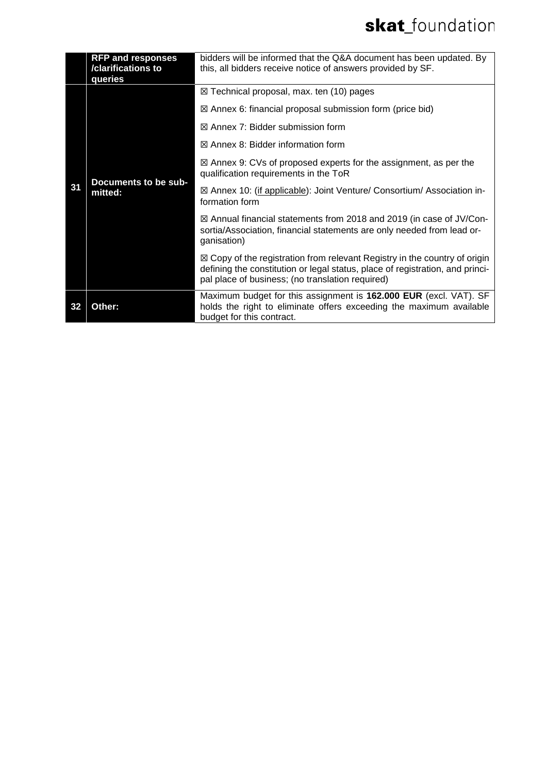|    | <b>RFP and responses</b><br>/clarifications to<br>queries | bidders will be informed that the Q&A document has been updated. By<br>this, all bidders receive notice of answers provided by SF.                                                                                        |
|----|-----------------------------------------------------------|---------------------------------------------------------------------------------------------------------------------------------------------------------------------------------------------------------------------------|
| 31 | Documents to be sub-<br>mitted:                           | $\boxtimes$ Technical proposal, max. ten (10) pages                                                                                                                                                                       |
|    |                                                           | $\boxtimes$ Annex 6: financial proposal submission form (price bid)                                                                                                                                                       |
|    |                                                           | $\boxtimes$ Annex 7: Bidder submission form                                                                                                                                                                               |
|    |                                                           | $\boxtimes$ Annex 8: Bidder information form                                                                                                                                                                              |
|    |                                                           | $\boxtimes$ Annex 9: CVs of proposed experts for the assignment, as per the<br>qualification requirements in the ToR                                                                                                      |
|    |                                                           | ⊠ Annex 10: (if applicable): Joint Venture/ Consortium/ Association in-<br>formation form                                                                                                                                 |
|    |                                                           | ⊠ Annual financial statements from 2018 and 2019 (in case of JV/Con-<br>sortia/Association, financial statements are only needed from lead or-<br>ganisation)                                                             |
|    |                                                           | $\boxtimes$ Copy of the registration from relevant Registry in the country of origin<br>defining the constitution or legal status, place of registration, and princi-<br>pal place of business; (no translation required) |
| 32 | Other:                                                    | Maximum budget for this assignment is 162.000 EUR (excl. VAT). SF<br>holds the right to eliminate offers exceeding the maximum available<br>budget for this contract.                                                     |